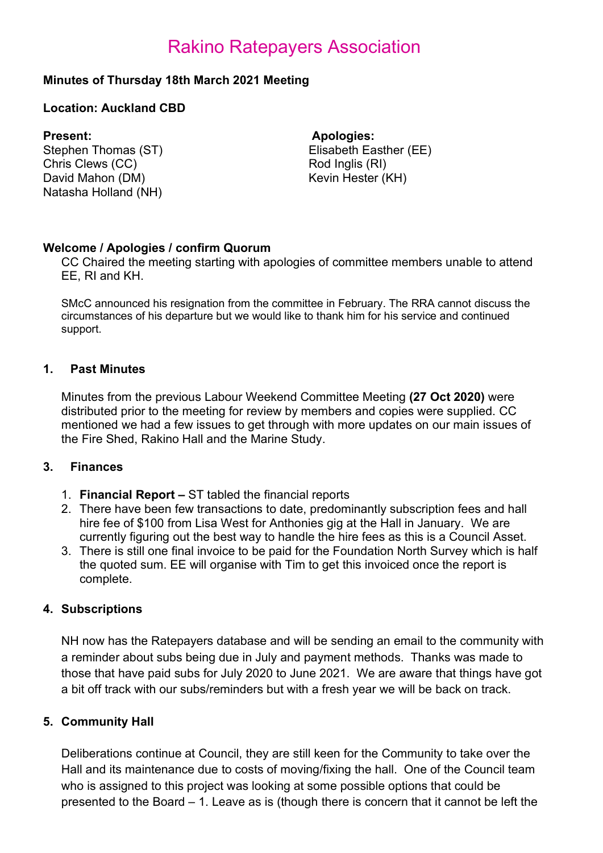# Rakino Ratepayers Association

### Minutes of Thursday 18th March 2021 Meeting

### Location: Auckland CBD

Stephen Thomas (ST) Elisabeth Easther (EE) Chris Clews (CC) David Mahon (DM) Natasha Holland (NH)

Present: Apologies:

Rod Inglis (RI) Kevin Hester (KH)

### Welcome / Apologies / confirm Quorum

CC Chaired the meeting starting with apologies of committee members unable to attend EE, RI and KH.

SMcC announced his resignation from the committee in February. The RRA cannot discuss the circumstances of his departure but we would like to thank him for his service and continued support.

### 1. Past Minutes

Minutes from the previous Labour Weekend Committee Meeting (27 Oct 2020) were distributed prior to the meeting for review by members and copies were supplied. CC mentioned we had a few issues to get through with more updates on our main issues of the Fire Shed, Rakino Hall and the Marine Study.

### 3. Finances

- 1. Financial Report ST tabled the financial reports
- 2. There have been few transactions to date, predominantly subscription fees and hall hire fee of \$100 from Lisa West for Anthonies gig at the Hall in January. We are currently figuring out the best way to handle the hire fees as this is a Council Asset.
- 3. There is still one final invoice to be paid for the Foundation North Survey which is half the quoted sum. EE will organise with Tim to get this invoiced once the report is complete.

# 4. Subscriptions

NH now has the Ratepayers database and will be sending an email to the community with a reminder about subs being due in July and payment methods. Thanks was made to those that have paid subs for July 2020 to June 2021. We are aware that things have got a bit off track with our subs/reminders but with a fresh year we will be back on track.

### 5. Community Hall

Deliberations continue at Council, they are still keen for the Community to take over the Hall and its maintenance due to costs of moving/fixing the hall. One of the Council team who is assigned to this project was looking at some possible options that could be presented to the Board – 1. Leave as is (though there is concern that it cannot be left the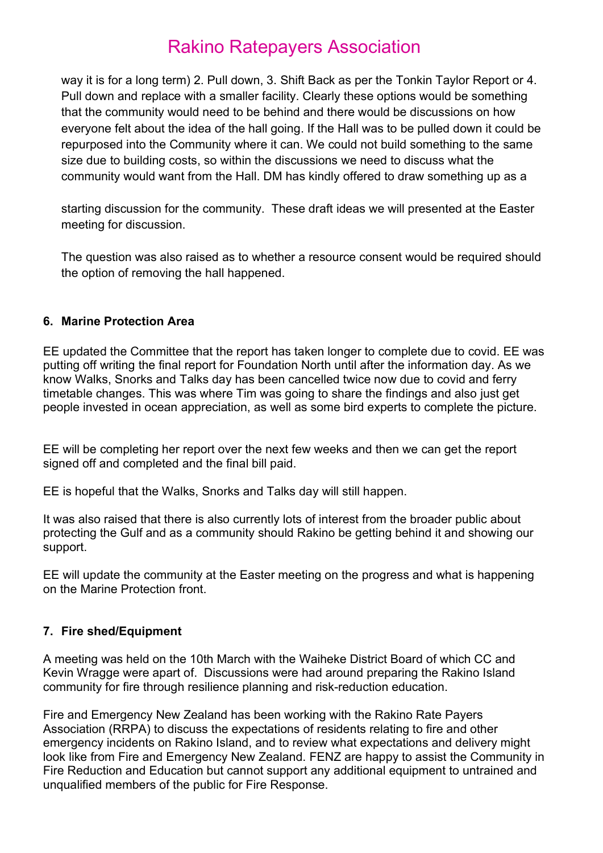# Rakino Ratepayers Association

way it is for a long term) 2. Pull down, 3. Shift Back as per the Tonkin Taylor Report or 4. Pull down and replace with a smaller facility. Clearly these options would be something that the community would need to be behind and there would be discussions on how everyone felt about the idea of the hall going. If the Hall was to be pulled down it could be repurposed into the Community where it can. We could not build something to the same size due to building costs, so within the discussions we need to discuss what the community would want from the Hall. DM has kindly offered to draw something up as a

starting discussion for the community. These draft ideas we will presented at the Easter meeting for discussion.

The question was also raised as to whether a resource consent would be required should the option of removing the hall happened.

# 6. Marine Protection Area

EE updated the Committee that the report has taken longer to complete due to covid. EE was putting off writing the final report for Foundation North until after the information day. As we know Walks, Snorks and Talks day has been cancelled twice now due to covid and ferry timetable changes. This was where Tim was going to share the findings and also just get people invested in ocean appreciation, as well as some bird experts to complete the picture.

EE will be completing her report over the next few weeks and then we can get the report signed off and completed and the final bill paid.

EE is hopeful that the Walks, Snorks and Talks day will still happen.

It was also raised that there is also currently lots of interest from the broader public about protecting the Gulf and as a community should Rakino be getting behind it and showing our support.

EE will update the community at the Easter meeting on the progress and what is happening on the Marine Protection front.

# 7. Fire shed/Equipment

A meeting was held on the 10th March with the Waiheke District Board of which CC and Kevin Wragge were apart of. Discussions were had around preparing the Rakino Island community for fire through resilience planning and risk-reduction education.

Fire and Emergency New Zealand has been working with the Rakino Rate Payers Association (RRPA) to discuss the expectations of residents relating to fire and other emergency incidents on Rakino Island, and to review what expectations and delivery might look like from Fire and Emergency New Zealand. FENZ are happy to assist the Community in Fire Reduction and Education but cannot support any additional equipment to untrained and unqualified members of the public for Fire Response.